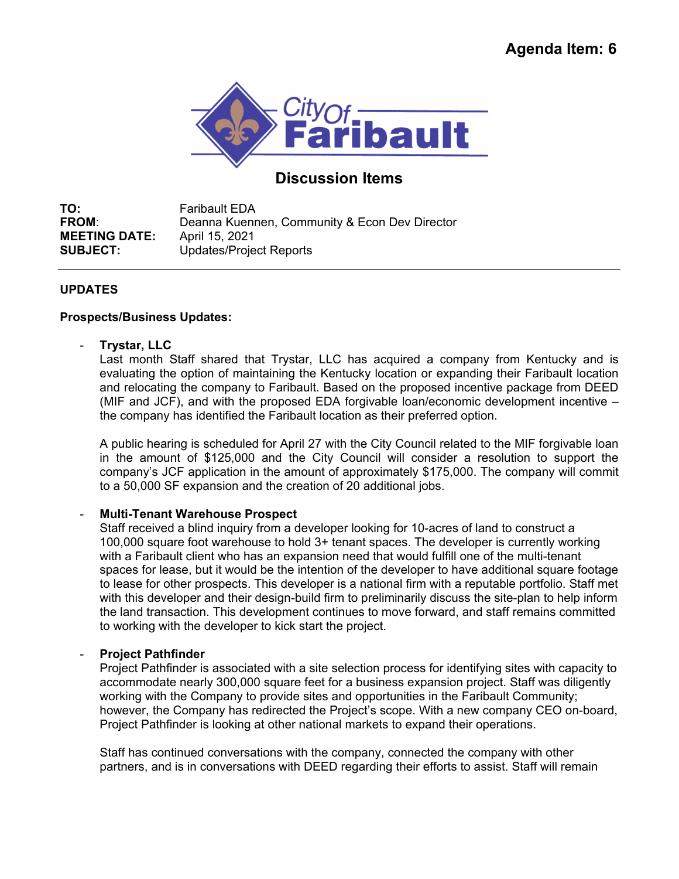

# **Discussion Items**

**TO:** Faribault EDA **FROM:** Deanna Kuennen, Community & Econ Dev Director **MEETING DATE:** April 15, 2021 **SUBJECT:** Updates/Project Reports

# **UPDATES**

# **Prospects/Business Updates:**

- **Trystar, LLC** 

Last month Staff shared that Trystar, LLC has acquired a company from Kentucky and is evaluating the option of maintaining the Kentucky location or expanding their Faribault location and relocating the company to Faribault. Based on the proposed incentive package from DEED (MIF and JCF), and with the proposed EDA forgivable loan/economic development incentive – the company has identified the Faribault location as their preferred option.

A public hearing is scheduled for April 27 with the City Council related to the MIF forgivable loan in the amount of \$125,000 and the City Council will consider a resolution to support the company's JCF application in the amount of approximately \$175,000. The company will commit to a 50,000 SF expansion and the creation of 20 additional jobs.

# - **Multi-Tenant Warehouse Prospect**

Staff received a blind inquiry from a developer looking for 10-acres of land to construct a 100,000 square foot warehouse to hold 3+ tenant spaces. The developer is currently working with a Faribault client who has an expansion need that would fulfill one of the multi-tenant spaces for lease, but it would be the intention of the developer to have additional square footage to lease for other prospects. This developer is a national firm with a reputable portfolio. Staff met with this developer and their design-build firm to preliminarily discuss the site-plan to help inform the land transaction. This development continues to move forward, and staff remains committed to working with the developer to kick start the project.

# - **Project Pathfinder**

Project Pathfinder is associated with a site selection process for identifying sites with capacity to accommodate nearly 300,000 square feet for a business expansion project. Staff was diligently working with the Company to provide sites and opportunities in the Faribault Community; however, the Company has redirected the Project's scope. With a new company CEO on-board, Project Pathfinder is looking at other national markets to expand their operations.

Staff has continued conversations with the company, connected the company with other partners, and is in conversations with DEED regarding their efforts to assist. Staff will remain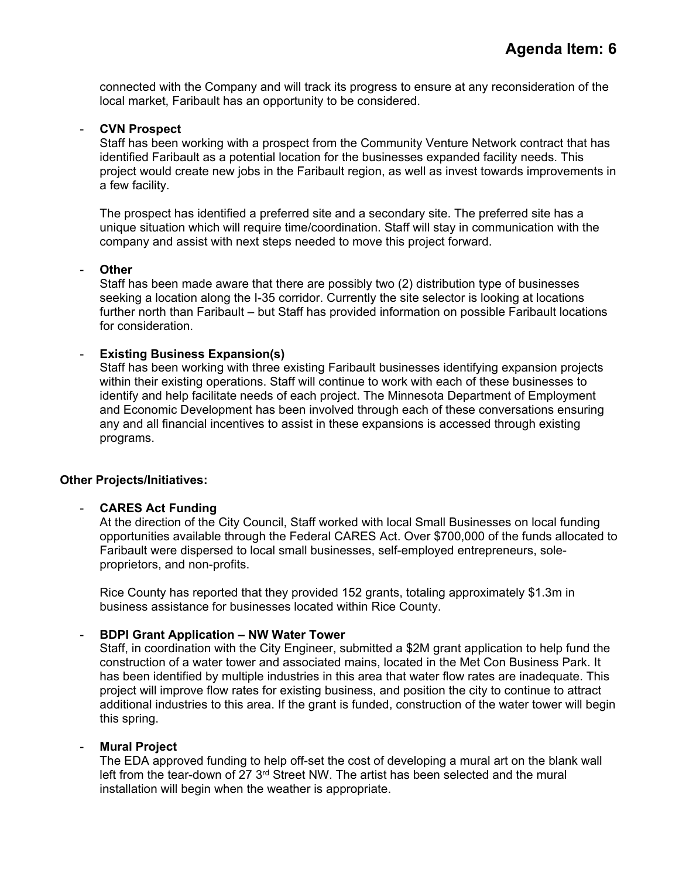connected with the Company and will track its progress to ensure at any reconsideration of the local market, Faribault has an opportunity to be considered.

## - **CVN Prospect**

Staff has been working with a prospect from the Community Venture Network contract that has identified Faribault as a potential location for the businesses expanded facility needs. This project would create new jobs in the Faribault region, as well as invest towards improvements in a few facility.

The prospect has identified a preferred site and a secondary site. The preferred site has a unique situation which will require time/coordination. Staff will stay in communication with the company and assist with next steps needed to move this project forward.

## - **Other**

Staff has been made aware that there are possibly two (2) distribution type of businesses seeking a location along the I-35 corridor. Currently the site selector is looking at locations further north than Faribault – but Staff has provided information on possible Faribault locations for consideration.

## **Existing Business Expansion(s)**

Staff has been working with three existing Faribault businesses identifying expansion projects within their existing operations. Staff will continue to work with each of these businesses to identify and help facilitate needs of each project. The Minnesota Department of Employment and Economic Development has been involved through each of these conversations ensuring any and all financial incentives to assist in these expansions is accessed through existing programs.

## **Other Projects/Initiatives:**

## - **CARES Act Funding**

At the direction of the City Council, Staff worked with local Small Businesses on local funding opportunities available through the Federal CARES Act. Over \$700,000 of the funds allocated to Faribault were dispersed to local small businesses, self-employed entrepreneurs, soleproprietors, and non-profits.

Rice County has reported that they provided 152 grants, totaling approximately \$1.3m in business assistance for businesses located within Rice County.

## - **BDPI Grant Application – NW Water Tower**

Staff, in coordination with the City Engineer, submitted a \$2M grant application to help fund the construction of a water tower and associated mains, located in the Met Con Business Park. It has been identified by multiple industries in this area that water flow rates are inadequate. This project will improve flow rates for existing business, and position the city to continue to attract additional industries to this area. If the grant is funded, construction of the water tower will begin this spring.

## - **Mural Project**

The EDA approved funding to help off-set the cost of developing a mural art on the blank wall left from the tear-down of  $27 \, 3^{rd}$  Street NW. The artist has been selected and the mural installation will begin when the weather is appropriate.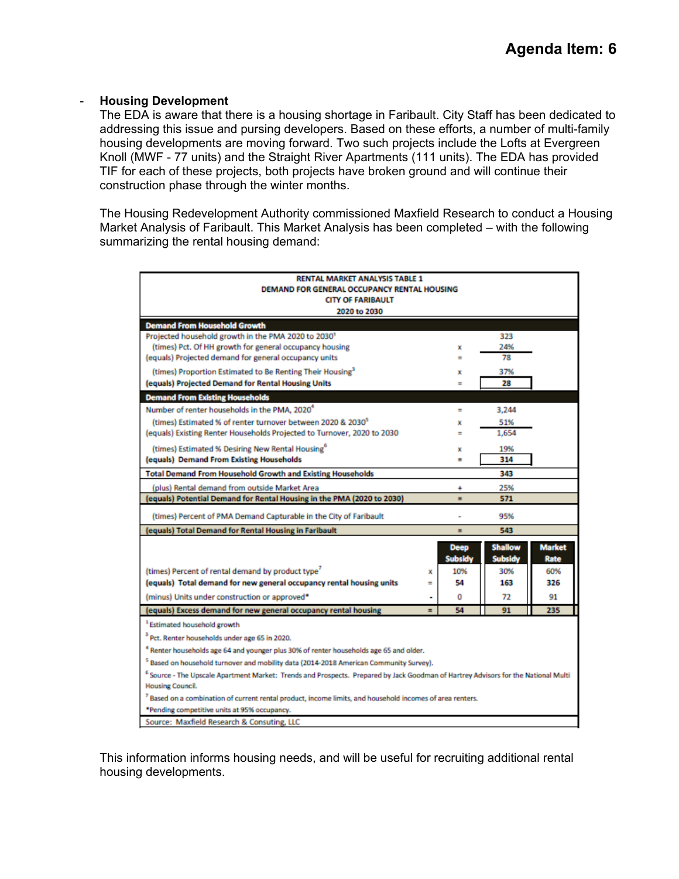## - **Housing Development**

The EDA is aware that there is a housing shortage in Faribault. City Staff has been dedicated to addressing this issue and pursing developers. Based on these efforts, a number of multi-family housing developments are moving forward. Two such projects include the Lofts at Evergreen Knoll (MWF - 77 units) and the Straight River Apartments (111 units). The EDA has provided TIF for each of these projects, both projects have broken ground and will continue their construction phase through the winter months.

The Housing Redevelopment Authority commissioned Maxfield Research to conduct a Housing Market Analysis of Faribault. This Market Analysis has been completed – with the following summarizing the rental housing demand:

| RENTAL MARKET ANALYSIS TABLE 1<br>DEMAND FOR GENERAL OCCUPANCY RENTAL HOUSING                                                                 |          |                               |                                  |                       |
|-----------------------------------------------------------------------------------------------------------------------------------------------|----------|-------------------------------|----------------------------------|-----------------------|
| <b>CITY OF FARIBAULT</b><br>2020 to 2030                                                                                                      |          |                               |                                  |                       |
| <b>Demand From Household Growth</b>                                                                                                           |          |                               |                                  |                       |
| Projected household growth in the PMA 2020 to 2030'                                                                                           |          |                               | 323                              |                       |
| (times) Pct. Of HH growth for general occupancy housing                                                                                       |          | x                             | 24%                              |                       |
| (equals) Projected demand for general occupancy units                                                                                         |          | -                             | 78                               |                       |
| (times) Proportion Estimated to Be Renting Their Housing <sup>3</sup>                                                                         |          | x                             | 37%                              |                       |
| (equals) Projected Demand for Rental Housing Units                                                                                            |          | =                             | 28                               |                       |
| <b>Demand From Existing Households</b>                                                                                                        |          |                               |                                  |                       |
| Number of renter households in the PMA, 2020 <sup>4</sup>                                                                                     |          | $\equiv$                      | 3.244                            |                       |
| (times) Estimated % of renter turnover between 2020 & 2030 <sup>5</sup>                                                                       |          | ×                             | 51%                              |                       |
| (equals) Existing Renter Households Projected to Turnover, 2020 to 2030                                                                       |          | -                             | 1.654                            |                       |
| (times) Estimated % Desiring New Rental Housing <sup>o</sup>                                                                                  |          | ×                             | 19%                              |                       |
| (equals) Demand From Existing Households                                                                                                      |          | Ξ                             | 314                              |                       |
| <b>Total Demand From Household Growth and Existing Households</b>                                                                             |          |                               | 343                              |                       |
| (plus) Rental demand from outside Market Area                                                                                                 |          | 4                             | 25%                              |                       |
| (equals) Potential Demand for Rental Housing in the PMA (2020 to 2030)                                                                        |          | Ξ                             | 571                              |                       |
| (times) Percent of PMA Demand Capturable in the City of Faribault                                                                             |          |                               | 95%                              |                       |
| equals) Total Demand for Rental Housing in Faribault                                                                                          |          | Ξ                             | 543                              |                       |
|                                                                                                                                               |          | <b>Deep</b><br><b>Subsidy</b> | <b>Shallow</b><br><b>Subsidy</b> | <b>Market</b><br>Rate |
| (times) Percent of rental demand by product type <sup>7</sup>                                                                                 | x        | 10%                           | 30%                              | 60%                   |
| (equals) Total demand for new general occupancy rental housing units                                                                          | $\equiv$ | 54                            | 163                              | 326                   |
| (minus) Units under construction or approved*                                                                                                 | ۰        | 0                             | 72                               | 91                    |
| (equals) Excess demand for new general occupancy rental housing                                                                               | $\equiv$ | 54                            | 91                               | 235                   |
| <sup>1</sup> Estimated household growth                                                                                                       |          |                               |                                  |                       |
| <sup>3</sup> Pct. Renter households under age 65 in 2020.                                                                                     |          |                               |                                  |                       |
| <sup>4</sup> Renter households age 64 and younger plus 30% of renter households age 65 and older.                                             |          |                               |                                  |                       |
| <sup>5</sup> Based on household turnover and mobility data (2014-2018 American Community Survey).                                             |          |                               |                                  |                       |
| <sup>6</sup> Source - The Upscale Apartment Market: Trends and Prospects. Prepared by Jack Goodman of Hartrey Advisors for the National Multi |          |                               |                                  |                       |
| <b>Housing Council.</b>                                                                                                                       |          |                               |                                  |                       |
| <sup>7</sup> Based on a combination of current rental product, income limits, and household incomes of area renters.                          |          |                               |                                  |                       |
| *Pending competitive units at 95% occupancy.                                                                                                  |          |                               |                                  |                       |
| Source: Maxfield Research & Consuting, LLC                                                                                                    |          |                               |                                  |                       |

This information informs housing needs, and will be useful for recruiting additional rental housing developments.